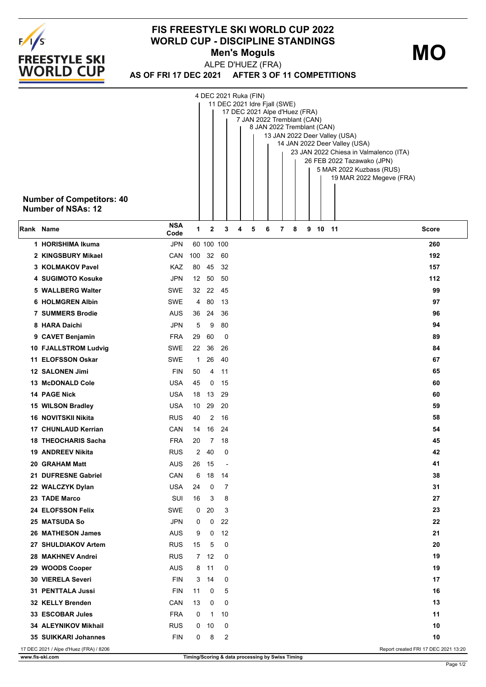

## **FIS FREESTYLE SKI WORLD CUP 2022 WORLD CUP - DISCIPLINE STANDINGS Men's Moguls MO**

**AS OF FRI 17 DEC 2021 AFTER 3 OF 11 COMPETITIONS** ALPE D'HUEZ (FRA)

|           | <b>Number of Competitors: 40</b><br><b>Number of NSAs: 12</b> |                    |                |            |                          |   | 4 DEC 2021 Ruka (FIN)<br>11 DEC 2021 Idre Fjall (SWE)<br>17 DEC 2021 Alpe d'Huez (FRA)<br>7 JAN 2022 Tremblant (CAN) | 8 JAN 2022 Tremblant (CAN) |   |   |         | 13 JAN 2022 Deer Valley (USA)<br>14 JAN 2022 Deer Valley (USA)<br>26 FEB 2022 Tazawako (JPN)<br>5 MAR 2022 Kuzbass (RUS) | 23 JAN 2022 Chiesa in Valmalenco (ITA)<br>19 MAR 2022 Megeve (FRA) |       |
|-----------|---------------------------------------------------------------|--------------------|----------------|------------|--------------------------|---|----------------------------------------------------------------------------------------------------------------------|----------------------------|---|---|---------|--------------------------------------------------------------------------------------------------------------------------|--------------------------------------------------------------------|-------|
| Rank Name |                                                               | <b>NSA</b><br>Code | 1              | 2          | 3                        | 4 | 5                                                                                                                    | 6                          | 7 | 8 | 9 10 11 |                                                                                                                          |                                                                    | Score |
|           | 1 HORISHIMA Ikuma                                             | <b>JPN</b>         |                | 60 100 100 |                          |   |                                                                                                                      |                            |   |   |         |                                                                                                                          |                                                                    | 260   |
|           | 2 KINGSBURY Mikael                                            | CAN                | 100            | 32         | 60                       |   |                                                                                                                      |                            |   |   |         |                                                                                                                          |                                                                    | 192   |
|           | 3 KOLMAKOV Pavel                                              | KAZ                | 80             | 45         | 32                       |   |                                                                                                                      |                            |   |   |         |                                                                                                                          |                                                                    | 157   |
|           | <b>4 SUGIMOTO Kosuke</b>                                      | <b>JPN</b>         | 12             | 50         | 50                       |   |                                                                                                                      |                            |   |   |         |                                                                                                                          |                                                                    | 112   |
|           | 5 WALLBERG Walter                                             | <b>SWE</b>         |                | 32 22      | 45                       |   |                                                                                                                      |                            |   |   |         |                                                                                                                          |                                                                    | 99    |
|           | <b>6 HOLMGREN Albin</b>                                       | <b>SWE</b>         | 4              | 80         | 13                       |   |                                                                                                                      |                            |   |   |         |                                                                                                                          |                                                                    | 97    |
|           | <b>7 SUMMERS Brodie</b>                                       | AUS                | 36             | 24         | 36                       |   |                                                                                                                      |                            |   |   |         |                                                                                                                          |                                                                    | 96    |
|           | 8 HARA Daichi                                                 | <b>JPN</b>         | 5              | 9          | 80                       |   |                                                                                                                      |                            |   |   |         |                                                                                                                          |                                                                    | 94    |
|           | 9 CAVET Benjamin                                              | <b>FRA</b>         | 29             | 60         | 0                        |   |                                                                                                                      |                            |   |   |         |                                                                                                                          |                                                                    | 89    |
|           | 10 FJALLSTROM Ludvig                                          | SWE                | 22             | 36         | 26                       |   |                                                                                                                      |                            |   |   |         |                                                                                                                          |                                                                    | 84    |
|           | 11 ELOFSSON Oskar                                             | <b>SWE</b>         | 1              | 26         | 40                       |   |                                                                                                                      |                            |   |   |         |                                                                                                                          |                                                                    | 67    |
|           | 12 SALONEN Jimi                                               | <b>FIN</b>         | 50             | 4          | 11                       |   |                                                                                                                      |                            |   |   |         |                                                                                                                          |                                                                    | 65    |
|           | <b>13 McDONALD Cole</b>                                       | <b>USA</b>         | 45             | 0          | 15                       |   |                                                                                                                      |                            |   |   |         |                                                                                                                          |                                                                    | 60    |
|           | 14 PAGE Nick                                                  | <b>USA</b>         | 18             | 13         | -29                      |   |                                                                                                                      |                            |   |   |         |                                                                                                                          |                                                                    | 60    |
|           | 15 WILSON Bradley                                             | <b>USA</b>         | 10             | 29         | 20                       |   |                                                                                                                      |                            |   |   |         |                                                                                                                          |                                                                    | 59    |
|           | 16 NOVITSKII Nikita                                           | <b>RUS</b>         | 40             | 2          | 16                       |   |                                                                                                                      |                            |   |   |         |                                                                                                                          |                                                                    | 58    |
|           | 17 CHUNLAUD Kerrian                                           | CAN                | 14             | 16         | -24                      |   |                                                                                                                      |                            |   |   |         |                                                                                                                          |                                                                    | 54    |
|           | <b>18 THEOCHARIS Sacha</b>                                    | <b>FRA</b>         | 20             | 7          | 18                       |   |                                                                                                                      |                            |   |   |         |                                                                                                                          |                                                                    | 45    |
|           | <b>19 ANDREEV Nikita</b>                                      | <b>RUS</b>         | $\overline{2}$ | 40         | 0                        |   |                                                                                                                      |                            |   |   |         |                                                                                                                          |                                                                    | 42    |
|           | 20 GRAHAM Matt                                                | <b>AUS</b>         |                | 26 15      | $\overline{\phantom{a}}$ |   |                                                                                                                      |                            |   |   |         |                                                                                                                          |                                                                    | 41    |
|           | 21 DUFRESNE Gabriel                                           | CAN                | 6              | 18         | 14                       |   |                                                                                                                      |                            |   |   |         |                                                                                                                          |                                                                    | 38    |
|           | 22 WALCZYK Dylan                                              | <b>USA</b>         | 24             | 0          | 7                        |   |                                                                                                                      |                            |   |   |         |                                                                                                                          |                                                                    | 31    |
|           | 23 TADE Marco                                                 | SUI                | 16             | 3          | 8                        |   |                                                                                                                      |                            |   |   |         |                                                                                                                          |                                                                    | 27    |
|           | 24 ELOFSSON Felix                                             | SWE                | 0              | 20         | 3                        |   |                                                                                                                      |                            |   |   |         |                                                                                                                          |                                                                    | 23    |
|           | <b>25 MATSUDA So</b>                                          | <b>JPN</b>         | 0              | 0          | 22                       |   |                                                                                                                      |                            |   |   |         |                                                                                                                          |                                                                    | 22    |
|           | 26 MATHESON James                                             | <b>AUS</b>         | 9              | 0          | 12                       |   |                                                                                                                      |                            |   |   |         |                                                                                                                          |                                                                    | 21    |
|           | 27 SHULDIAKOV Artem                                           | <b>RUS</b>         | 15             | 5          | 0                        |   |                                                                                                                      |                            |   |   |         |                                                                                                                          |                                                                    | 20    |
|           | 28 MAKHNEV Andrei                                             | <b>RUS</b>         |                | 7 12       | 0                        |   |                                                                                                                      |                            |   |   |         |                                                                                                                          |                                                                    | 19    |
|           | 29 WOODS Cooper                                               | <b>AUS</b>         | 8              | 11         | 0                        |   |                                                                                                                      |                            |   |   |         |                                                                                                                          |                                                                    | 19    |
|           | 30 VIERELA Severi                                             | <b>FIN</b>         | 3              | 14         | 0                        |   |                                                                                                                      |                            |   |   |         |                                                                                                                          |                                                                    | 17    |
|           | 31 PENTTALA Jussi                                             | <b>FIN</b>         | 11             | 0          | 5                        |   |                                                                                                                      |                            |   |   |         |                                                                                                                          |                                                                    | 16    |
|           | 32 KELLY Brenden                                              | CAN                | 13             | 0          | 0                        |   |                                                                                                                      |                            |   |   |         |                                                                                                                          |                                                                    | 13    |
|           | 33 ESCOBAR Jules                                              | <b>FRA</b>         | 0              | 1          | 10                       |   |                                                                                                                      |                            |   |   |         |                                                                                                                          |                                                                    | 11    |
|           | 34 ALEYNIKOV Mikhail                                          | <b>RUS</b>         | 0              | 10         | 0                        |   |                                                                                                                      |                            |   |   |         |                                                                                                                          |                                                                    | 10    |
|           | 35 SUIKKARI Johannes                                          | <b>FIN</b>         | 0              | 8          | 2                        |   |                                                                                                                      |                            |   |   |         |                                                                                                                          |                                                                    | 10    |
|           | 17 DEC 2021 / Alpe d'Huez (FRA) / 8206                        |                    |                |            |                          |   |                                                                                                                      |                            |   |   |         |                                                                                                                          | Report created FRI 17 DEC 2021 13:20                               |       |